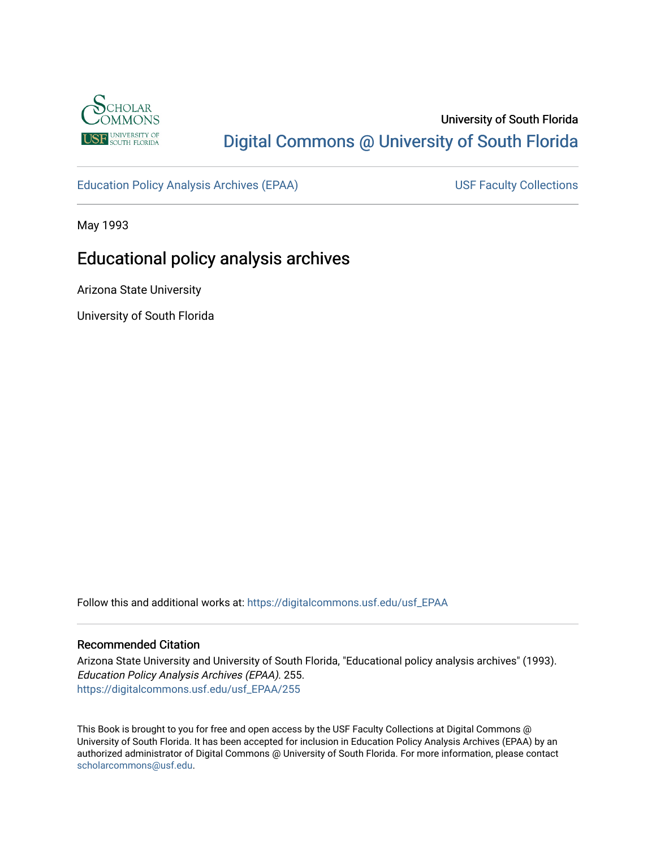

## University of South Florida [Digital Commons @ University of South Florida](https://digitalcommons.usf.edu/)

[Education Policy Analysis Archives \(EPAA\)](https://digitalcommons.usf.edu/usf_EPAA) USF Faculty Collections

May 1993

# Educational policy analysis archives

Arizona State University

University of South Florida

Follow this and additional works at: [https://digitalcommons.usf.edu/usf\\_EPAA](https://digitalcommons.usf.edu/usf_EPAA?utm_source=digitalcommons.usf.edu%2Fusf_EPAA%2F255&utm_medium=PDF&utm_campaign=PDFCoverPages)

#### Recommended Citation

Arizona State University and University of South Florida, "Educational policy analysis archives" (1993). Education Policy Analysis Archives (EPAA). 255. [https://digitalcommons.usf.edu/usf\\_EPAA/255](https://digitalcommons.usf.edu/usf_EPAA/255?utm_source=digitalcommons.usf.edu%2Fusf_EPAA%2F255&utm_medium=PDF&utm_campaign=PDFCoverPages)

This Book is brought to you for free and open access by the USF Faculty Collections at Digital Commons @ University of South Florida. It has been accepted for inclusion in Education Policy Analysis Archives (EPAA) by an authorized administrator of Digital Commons @ University of South Florida. For more information, please contact [scholarcommons@usf.edu.](mailto:scholarcommons@usf.edu)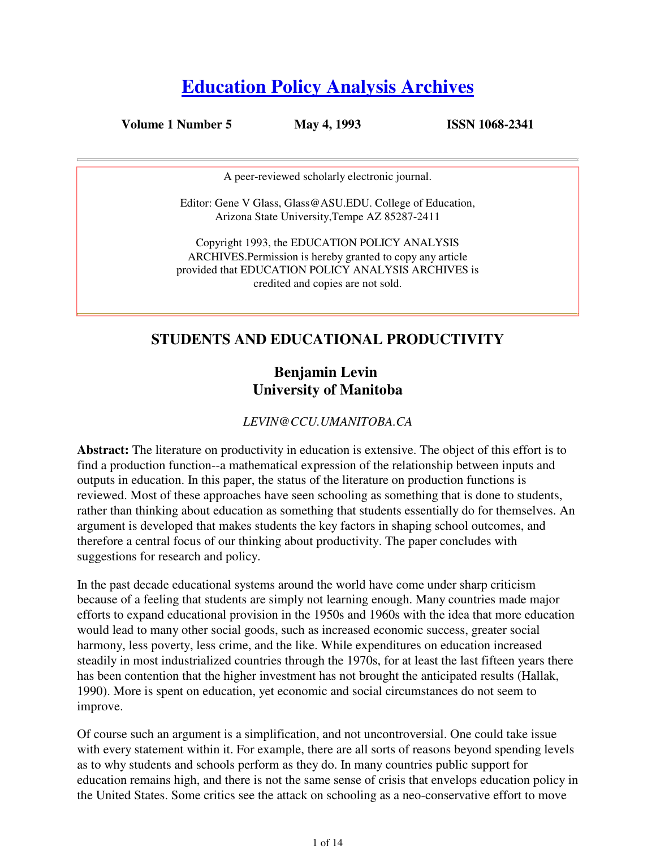# **Education Policy Analysis Archives**

**Volume 1 Number 5 May 4, 1993 ISSN 1068-2341**

A peer-reviewed scholarly electronic journal.

Editor: Gene V Glass, Glass@ASU.EDU. College of Education, Arizona State University,Tempe AZ 85287-2411

Copyright 1993, the EDUCATION POLICY ANALYSIS ARCHIVES.Permission is hereby granted to copy any article provided that EDUCATION POLICY ANALYSIS ARCHIVES is credited and copies are not sold.

## **STUDENTS AND EDUCATIONAL PRODUCTIVITY**

### **Benjamin Levin University of Manitoba**

#### *LEVIN@CCU.UMANITOBA.CA*

**Abstract:** The literature on productivity in education is extensive. The object of this effort is to find a production function--a mathematical expression of the relationship between inputs and outputs in education. In this paper, the status of the literature on production functions is reviewed. Most of these approaches have seen schooling as something that is done to students, rather than thinking about education as something that students essentially do for themselves. An argument is developed that makes students the key factors in shaping school outcomes, and therefore a central focus of our thinking about productivity. The paper concludes with suggestions for research and policy.

In the past decade educational systems around the world have come under sharp criticism because of a feeling that students are simply not learning enough. Many countries made major efforts to expand educational provision in the 1950s and 1960s with the idea that more education would lead to many other social goods, such as increased economic success, greater social harmony, less poverty, less crime, and the like. While expenditures on education increased steadily in most industrialized countries through the 1970s, for at least the last fifteen years there has been contention that the higher investment has not brought the anticipated results (Hallak, 1990). More is spent on education, yet economic and social circumstances do not seem to improve.

Of course such an argument is a simplification, and not uncontroversial. One could take issue with every statement within it. For example, there are all sorts of reasons beyond spending levels as to why students and schools perform as they do. In many countries public support for education remains high, and there is not the same sense of crisis that envelops education policy in the United States. Some critics see the attack on schooling as a neo-conservative effort to move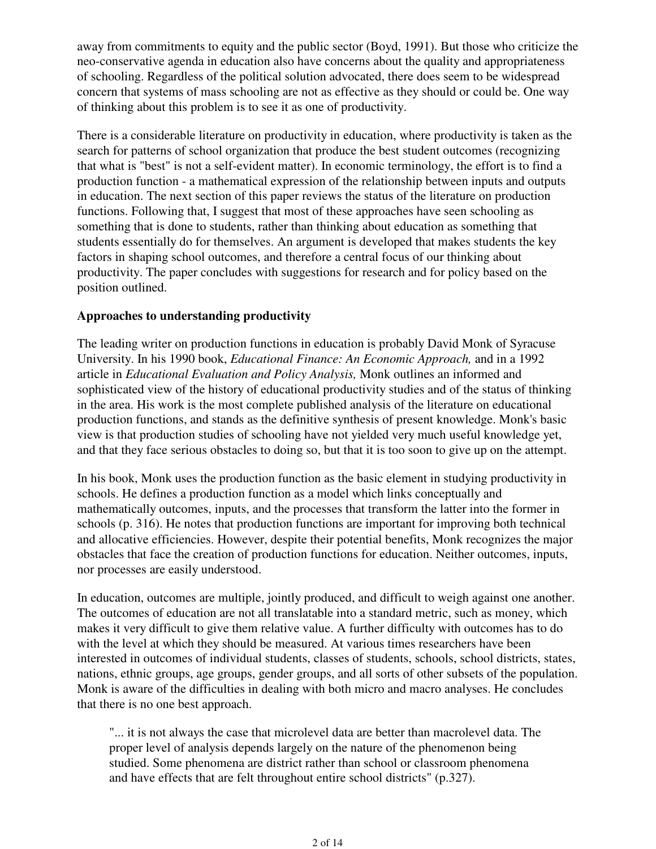away from commitments to equity and the public sector (Boyd, 1991). But those who criticize the neo-conservative agenda in education also have concerns about the quality and appropriateness of schooling. Regardless of the political solution advocated, there does seem to be widespread concern that systems of mass schooling are not as effective as they should or could be. One way of thinking about this problem is to see it as one of productivity.

There is a considerable literature on productivity in education, where productivity is taken as the search for patterns of school organization that produce the best student outcomes (recognizing that what is "best" is not a self-evident matter). In economic terminology, the effort is to find a production function - a mathematical expression of the relationship between inputs and outputs in education. The next section of this paper reviews the status of the literature on production functions. Following that, I suggest that most of these approaches have seen schooling as something that is done to students, rather than thinking about education as something that students essentially do for themselves. An argument is developed that makes students the key factors in shaping school outcomes, and therefore a central focus of our thinking about productivity. The paper concludes with suggestions for research and for policy based on the position outlined.

#### **Approaches to understanding productivity**

The leading writer on production functions in education is probably David Monk of Syracuse University. In his 1990 book, *Educational Finance: An Economic Approach,* and in a 1992 article in *Educational Evaluation and Policy Analysis,* Monk outlines an informed and sophisticated view of the history of educational productivity studies and of the status of thinking in the area. His work is the most complete published analysis of the literature on educational production functions, and stands as the definitive synthesis of present knowledge. Monk's basic view is that production studies of schooling have not yielded very much useful knowledge yet, and that they face serious obstacles to doing so, but that it is too soon to give up on the attempt.

In his book, Monk uses the production function as the basic element in studying productivity in schools. He defines a production function as a model which links conceptually and mathematically outcomes, inputs, and the processes that transform the latter into the former in schools (p. 316). He notes that production functions are important for improving both technical and allocative efficiencies. However, despite their potential benefits, Monk recognizes the major obstacles that face the creation of production functions for education. Neither outcomes, inputs, nor processes are easily understood.

In education, outcomes are multiple, jointly produced, and difficult to weigh against one another. The outcomes of education are not all translatable into a standard metric, such as money, which makes it very difficult to give them relative value. A further difficulty with outcomes has to do with the level at which they should be measured. At various times researchers have been interested in outcomes of individual students, classes of students, schools, school districts, states, nations, ethnic groups, age groups, gender groups, and all sorts of other subsets of the population. Monk is aware of the difficulties in dealing with both micro and macro analyses. He concludes that there is no one best approach.

"... it is not always the case that microlevel data are better than macrolevel data. The proper level of analysis depends largely on the nature of the phenomenon being studied. Some phenomena are district rather than school or classroom phenomena and have effects that are felt throughout entire school districts" (p.327).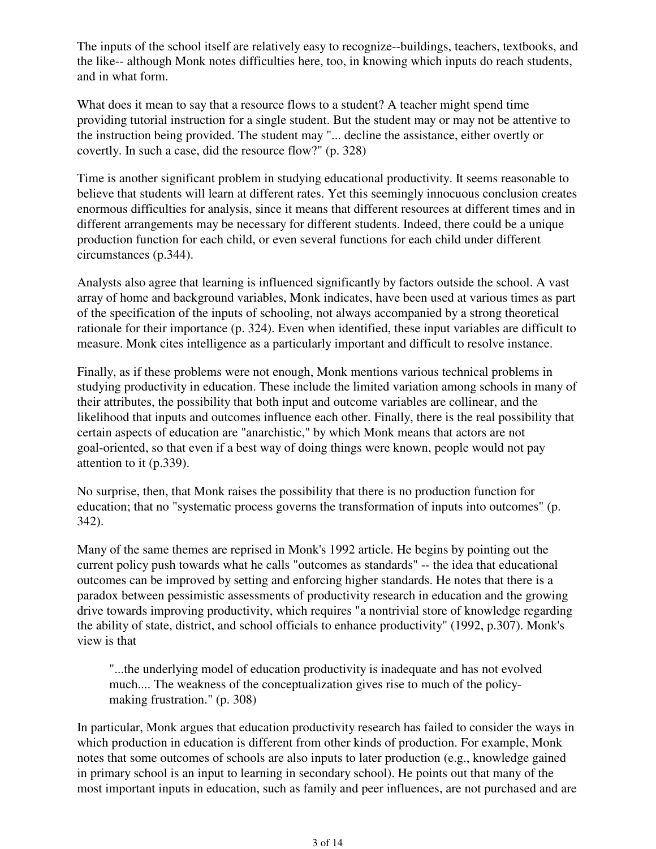The inputs of the school itself are relatively easy to recognize--buildings, teachers, textbooks, and the like-- although Monk notes difficulties here, too, in knowing which inputs do reach students, and in what form.

What does it mean to say that a resource flows to a student? A teacher might spend time providing tutorial instruction for a single student. But the student may or may not be attentive to the instruction being provided. The student may "... decline the assistance, either overtly or covertly. In such a case, did the resource flow?" (p. 328)

Time is another significant problem in studying educational productivity. It seems reasonable to believe that students will learn at different rates. Yet this seemingly innocuous conclusion creates enormous difficulties for analysis, since it means that different resources at different times and in different arrangements may be necessary for different students. Indeed, there could be a unique production function for each child, or even several functions for each child under different circumstances (p.344).

Analysts also agree that learning is influenced significantly by factors outside the school. A vast array of home and background variables, Monk indicates, have been used at various times as part of the specification of the inputs of schooling, not always accompanied by a strong theoretical rationale for their importance (p. 324). Even when identified, these input variables are difficult to measure. Monk cites intelligence as a particularly important and difficult to resolve instance.

Finally, as if these problems were not enough, Monk mentions various technical problems in studying productivity in education. These include the limited variation among schools in many of their attributes, the possibility that both input and outcome variables are collinear, and the likelihood that inputs and outcomes influence each other. Finally, there is the real possibility that certain aspects of education are "anarchistic," by which Monk means that actors are not goal-oriented, so that even if a best way of doing things were known, people would not pay attention to it (p.339).

No surprise, then, that Monk raises the possibility that there is no production function for education; that no "systematic process governs the transformation of inputs into outcomes" (p. 342).

Many of the same themes are reprised in Monk's 1992 article. He begins by pointing out the current policy push towards what he calls "outcomes as standards" -- the idea that educational outcomes can be improved by setting and enforcing higher standards. He notes that there is a paradox between pessimistic assessments of productivity research in education and the growing drive towards improving productivity, which requires "a nontrivial store of knowledge regarding the ability of state, district, and school officials to enhance productivity" (1992, p.307). Monk's view is that

"...the underlying model of education productivity is inadequate and has not evolved much.... The weakness of the conceptualization gives rise to much of the policymaking frustration." (p. 308)

In particular, Monk argues that education productivity research has failed to consider the ways in which production in education is different from other kinds of production. For example, Monk notes that some outcomes of schools are also inputs to later production (e.g., knowledge gained in primary school is an input to learning in secondary school). He points out that many of the most important inputs in education, such as family and peer influences, are not purchased and are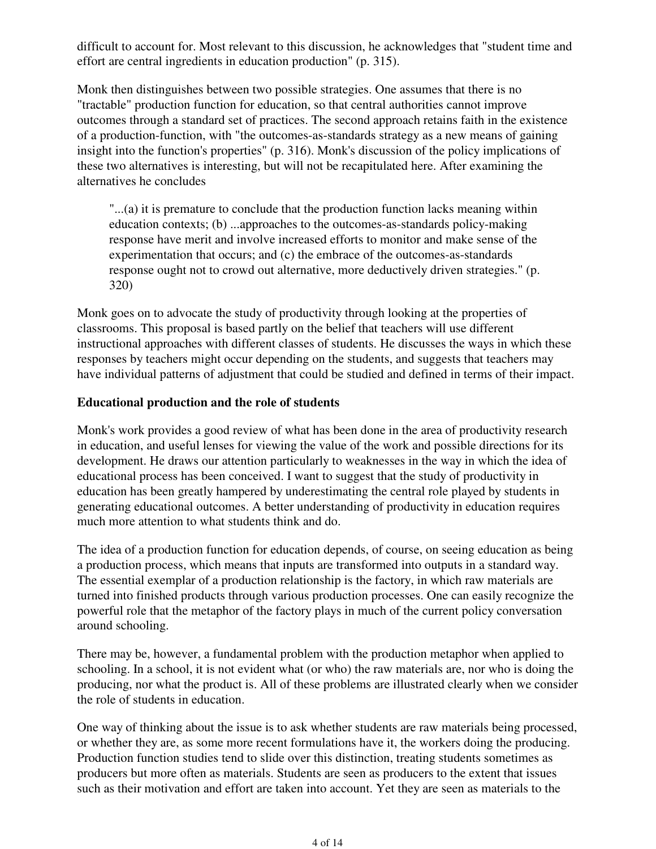difficult to account for. Most relevant to this discussion, he acknowledges that "student time and effort are central ingredients in education production" (p. 315).

Monk then distinguishes between two possible strategies. One assumes that there is no "tractable" production function for education, so that central authorities cannot improve outcomes through a standard set of practices. The second approach retains faith in the existence of a production-function, with "the outcomes-as-standards strategy as a new means of gaining insight into the function's properties" (p. 316). Monk's discussion of the policy implications of these two alternatives is interesting, but will not be recapitulated here. After examining the alternatives he concludes

"...(a) it is premature to conclude that the production function lacks meaning within education contexts; (b) ...approaches to the outcomes-as-standards policy-making response have merit and involve increased efforts to monitor and make sense of the experimentation that occurs; and (c) the embrace of the outcomes-as-standards response ought not to crowd out alternative, more deductively driven strategies." (p. 320)

Monk goes on to advocate the study of productivity through looking at the properties of classrooms. This proposal is based partly on the belief that teachers will use different instructional approaches with different classes of students. He discusses the ways in which these responses by teachers might occur depending on the students, and suggests that teachers may have individual patterns of adjustment that could be studied and defined in terms of their impact.

#### **Educational production and the role of students**

Monk's work provides a good review of what has been done in the area of productivity research in education, and useful lenses for viewing the value of the work and possible directions for its development. He draws our attention particularly to weaknesses in the way in which the idea of educational process has been conceived. I want to suggest that the study of productivity in education has been greatly hampered by underestimating the central role played by students in generating educational outcomes. A better understanding of productivity in education requires much more attention to what students think and do.

The idea of a production function for education depends, of course, on seeing education as being a production process, which means that inputs are transformed into outputs in a standard way. The essential exemplar of a production relationship is the factory, in which raw materials are turned into finished products through various production processes. One can easily recognize the powerful role that the metaphor of the factory plays in much of the current policy conversation around schooling.

There may be, however, a fundamental problem with the production metaphor when applied to schooling. In a school, it is not evident what (or who) the raw materials are, nor who is doing the producing, nor what the product is. All of these problems are illustrated clearly when we consider the role of students in education.

One way of thinking about the issue is to ask whether students are raw materials being processed, or whether they are, as some more recent formulations have it, the workers doing the producing. Production function studies tend to slide over this distinction, treating students sometimes as producers but more often as materials. Students are seen as producers to the extent that issues such as their motivation and effort are taken into account. Yet they are seen as materials to the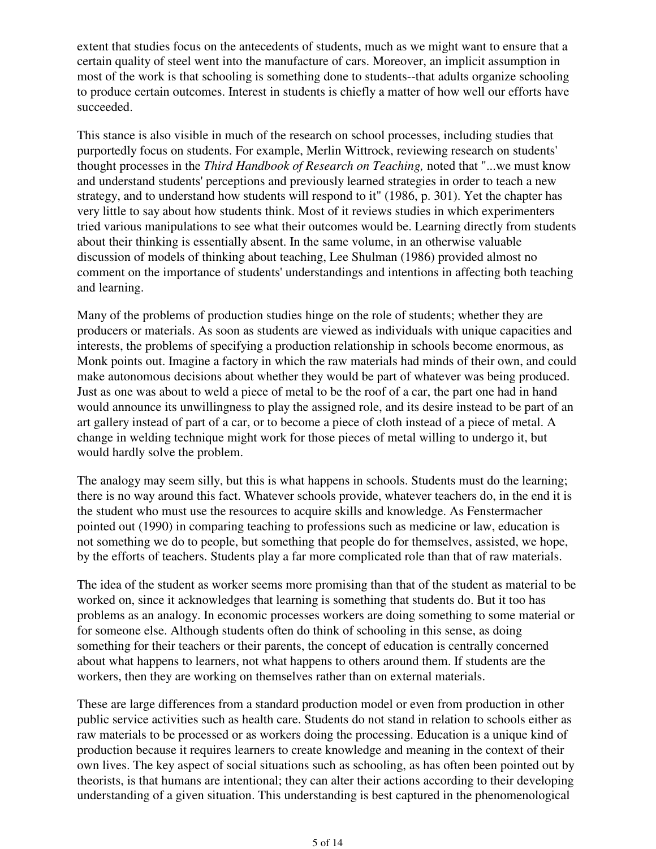extent that studies focus on the antecedents of students, much as we might want to ensure that a certain quality of steel went into the manufacture of cars. Moreover, an implicit assumption in most of the work is that schooling is something done to students--that adults organize schooling to produce certain outcomes. Interest in students is chiefly a matter of how well our efforts have succeeded.

This stance is also visible in much of the research on school processes, including studies that purportedly focus on students. For example, Merlin Wittrock, reviewing research on students' thought processes in the *Third Handbook of Research on Teaching,* noted that "...we must know and understand students' perceptions and previously learned strategies in order to teach a new strategy, and to understand how students will respond to it" (1986, p. 301). Yet the chapter has very little to say about how students think. Most of it reviews studies in which experimenters tried various manipulations to see what their outcomes would be. Learning directly from students about their thinking is essentially absent. In the same volume, in an otherwise valuable discussion of models of thinking about teaching, Lee Shulman (1986) provided almost no comment on the importance of students' understandings and intentions in affecting both teaching and learning.

Many of the problems of production studies hinge on the role of students; whether they are producers or materials. As soon as students are viewed as individuals with unique capacities and interests, the problems of specifying a production relationship in schools become enormous, as Monk points out. Imagine a factory in which the raw materials had minds of their own, and could make autonomous decisions about whether they would be part of whatever was being produced. Just as one was about to weld a piece of metal to be the roof of a car, the part one had in hand would announce its unwillingness to play the assigned role, and its desire instead to be part of an art gallery instead of part of a car, or to become a piece of cloth instead of a piece of metal. A change in welding technique might work for those pieces of metal willing to undergo it, but would hardly solve the problem.

The analogy may seem silly, but this is what happens in schools. Students must do the learning; there is no way around this fact. Whatever schools provide, whatever teachers do, in the end it is the student who must use the resources to acquire skills and knowledge. As Fenstermacher pointed out (1990) in comparing teaching to professions such as medicine or law, education is not something we do to people, but something that people do for themselves, assisted, we hope, by the efforts of teachers. Students play a far more complicated role than that of raw materials.

The idea of the student as worker seems more promising than that of the student as material to be worked on, since it acknowledges that learning is something that students do. But it too has problems as an analogy. In economic processes workers are doing something to some material or for someone else. Although students often do think of schooling in this sense, as doing something for their teachers or their parents, the concept of education is centrally concerned about what happens to learners, not what happens to others around them. If students are the workers, then they are working on themselves rather than on external materials.

These are large differences from a standard production model or even from production in other public service activities such as health care. Students do not stand in relation to schools either as raw materials to be processed or as workers doing the processing. Education is a unique kind of production because it requires learners to create knowledge and meaning in the context of their own lives. The key aspect of social situations such as schooling, as has often been pointed out by theorists, is that humans are intentional; they can alter their actions according to their developing understanding of a given situation. This understanding is best captured in the phenomenological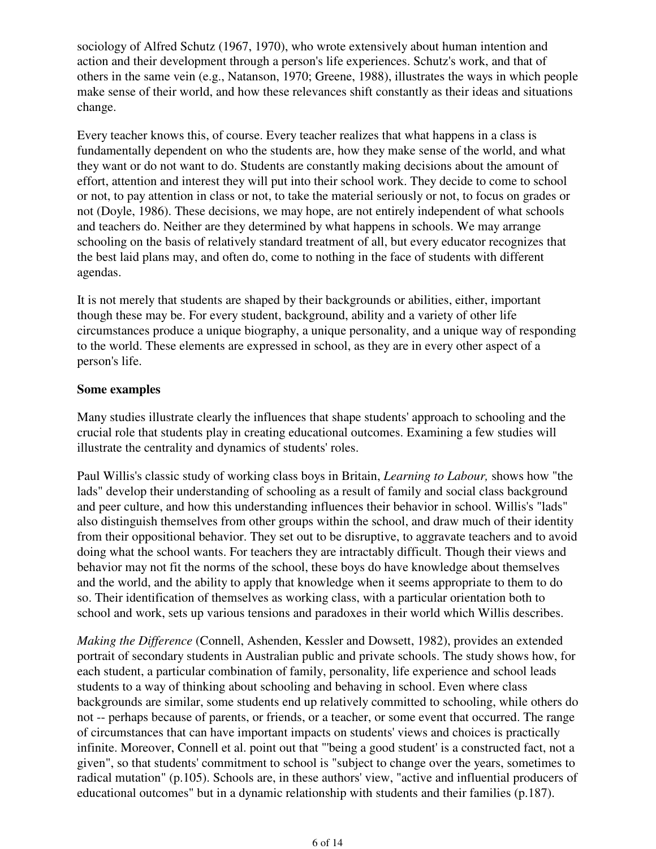sociology of Alfred Schutz (1967, 1970), who wrote extensively about human intention and action and their development through a person's life experiences. Schutz's work, and that of others in the same vein (e.g., Natanson, 1970; Greene, 1988), illustrates the ways in which people make sense of their world, and how these relevances shift constantly as their ideas and situations change.

Every teacher knows this, of course. Every teacher realizes that what happens in a class is fundamentally dependent on who the students are, how they make sense of the world, and what they want or do not want to do. Students are constantly making decisions about the amount of effort, attention and interest they will put into their school work. They decide to come to school or not, to pay attention in class or not, to take the material seriously or not, to focus on grades or not (Doyle, 1986). These decisions, we may hope, are not entirely independent of what schools and teachers do. Neither are they determined by what happens in schools. We may arrange schooling on the basis of relatively standard treatment of all, but every educator recognizes that the best laid plans may, and often do, come to nothing in the face of students with different agendas.

It is not merely that students are shaped by their backgrounds or abilities, either, important though these may be. For every student, background, ability and a variety of other life circumstances produce a unique biography, a unique personality, and a unique way of responding to the world. These elements are expressed in school, as they are in every other aspect of a person's life.

#### **Some examples**

Many studies illustrate clearly the influences that shape students' approach to schooling and the crucial role that students play in creating educational outcomes. Examining a few studies will illustrate the centrality and dynamics of students' roles.

Paul Willis's classic study of working class boys in Britain, *Learning to Labour,* shows how "the lads" develop their understanding of schooling as a result of family and social class background and peer culture, and how this understanding influences their behavior in school. Willis's "lads" also distinguish themselves from other groups within the school, and draw much of their identity from their oppositional behavior. They set out to be disruptive, to aggravate teachers and to avoid doing what the school wants. For teachers they are intractably difficult. Though their views and behavior may not fit the norms of the school, these boys do have knowledge about themselves and the world, and the ability to apply that knowledge when it seems appropriate to them to do so. Their identification of themselves as working class, with a particular orientation both to school and work, sets up various tensions and paradoxes in their world which Willis describes.

*Making the Difference* (Connell, Ashenden, Kessler and Dowsett, 1982), provides an extended portrait of secondary students in Australian public and private schools. The study shows how, for each student, a particular combination of family, personality, life experience and school leads students to a way of thinking about schooling and behaving in school. Even where class backgrounds are similar, some students end up relatively committed to schooling, while others do not -- perhaps because of parents, or friends, or a teacher, or some event that occurred. The range of circumstances that can have important impacts on students' views and choices is practically infinite. Moreover, Connell et al. point out that "'being a good student' is a constructed fact, not a given", so that students' commitment to school is "subject to change over the years, sometimes to radical mutation" (p.105). Schools are, in these authors' view, "active and influential producers of educational outcomes" but in a dynamic relationship with students and their families (p.187).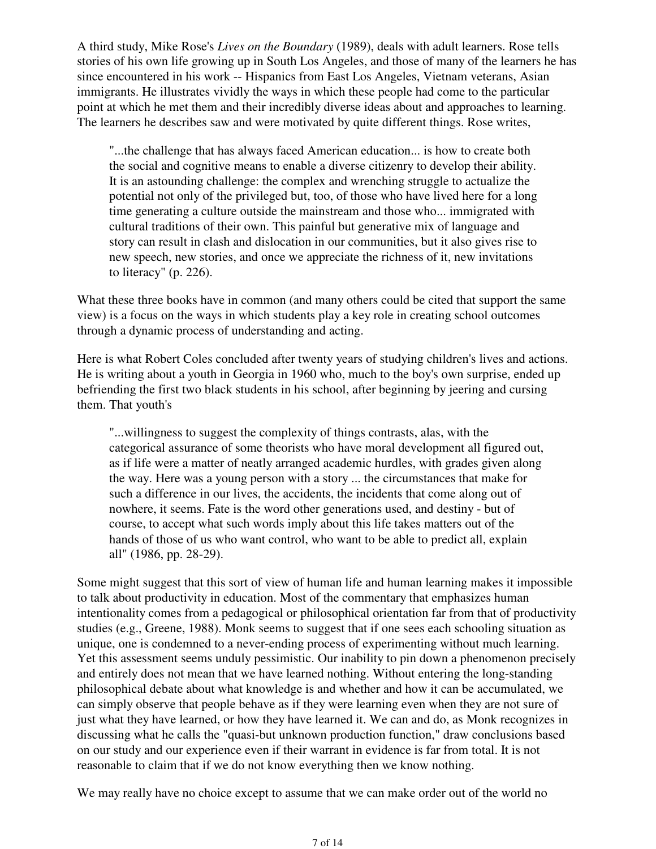A third study, Mike Rose's *Lives on the Boundary* (1989), deals with adult learners. Rose tells stories of his own life growing up in South Los Angeles, and those of many of the learners he has since encountered in his work -- Hispanics from East Los Angeles, Vietnam veterans, Asian immigrants. He illustrates vividly the ways in which these people had come to the particular point at which he met them and their incredibly diverse ideas about and approaches to learning. The learners he describes saw and were motivated by quite different things. Rose writes,

"...the challenge that has always faced American education... is how to create both the social and cognitive means to enable a diverse citizenry to develop their ability. It is an astounding challenge: the complex and wrenching struggle to actualize the potential not only of the privileged but, too, of those who have lived here for a long time generating a culture outside the mainstream and those who... immigrated with cultural traditions of their own. This painful but generative mix of language and story can result in clash and dislocation in our communities, but it also gives rise to new speech, new stories, and once we appreciate the richness of it, new invitations to literacy" (p. 226).

What these three books have in common (and many others could be cited that support the same view) is a focus on the ways in which students play a key role in creating school outcomes through a dynamic process of understanding and acting.

Here is what Robert Coles concluded after twenty years of studying children's lives and actions. He is writing about a youth in Georgia in 1960 who, much to the boy's own surprise, ended up befriending the first two black students in his school, after beginning by jeering and cursing them. That youth's

"...willingness to suggest the complexity of things contrasts, alas, with the categorical assurance of some theorists who have moral development all figured out, as if life were a matter of neatly arranged academic hurdles, with grades given along the way. Here was a young person with a story ... the circumstances that make for such a difference in our lives, the accidents, the incidents that come along out of nowhere, it seems. Fate is the word other generations used, and destiny - but of course, to accept what such words imply about this life takes matters out of the hands of those of us who want control, who want to be able to predict all, explain all" (1986, pp. 28-29).

Some might suggest that this sort of view of human life and human learning makes it impossible to talk about productivity in education. Most of the commentary that emphasizes human intentionality comes from a pedagogical or philosophical orientation far from that of productivity studies (e.g., Greene, 1988). Monk seems to suggest that if one sees each schooling situation as unique, one is condemned to a never-ending process of experimenting without much learning. Yet this assessment seems unduly pessimistic. Our inability to pin down a phenomenon precisely and entirely does not mean that we have learned nothing. Without entering the long-standing philosophical debate about what knowledge is and whether and how it can be accumulated, we can simply observe that people behave as if they were learning even when they are not sure of just what they have learned, or how they have learned it. We can and do, as Monk recognizes in discussing what he calls the "quasi-but unknown production function," draw conclusions based on our study and our experience even if their warrant in evidence is far from total. It is not reasonable to claim that if we do not know everything then we know nothing.

We may really have no choice except to assume that we can make order out of the world no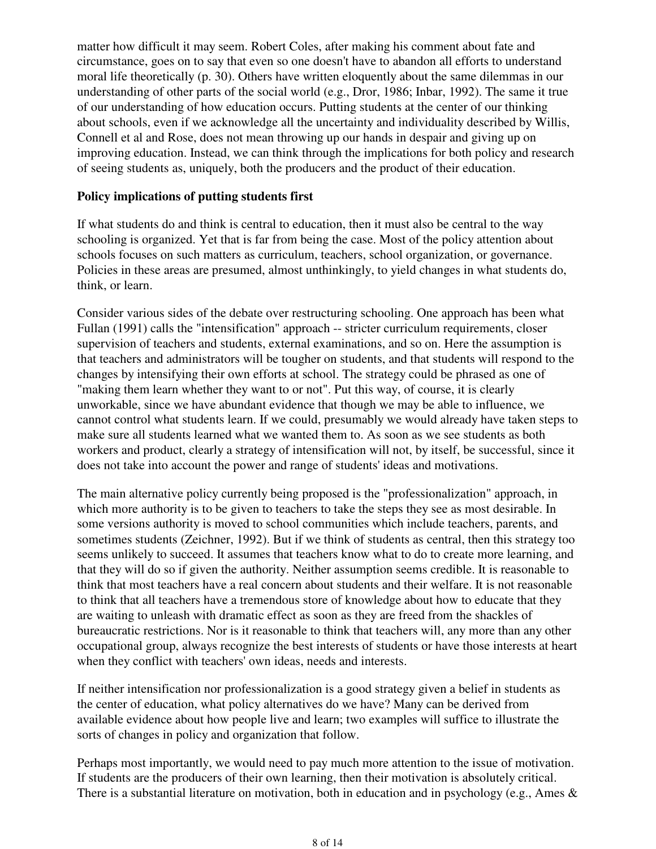matter how difficult it may seem. Robert Coles, after making his comment about fate and circumstance, goes on to say that even so one doesn't have to abandon all efforts to understand moral life theoretically (p. 30). Others have written eloquently about the same dilemmas in our understanding of other parts of the social world (e.g., Dror, 1986; Inbar, 1992). The same it true of our understanding of how education occurs. Putting students at the center of our thinking about schools, even if we acknowledge all the uncertainty and individuality described by Willis, Connell et al and Rose, does not mean throwing up our hands in despair and giving up on improving education. Instead, we can think through the implications for both policy and research of seeing students as, uniquely, both the producers and the product of their education.

#### **Policy implications of putting students first**

If what students do and think is central to education, then it must also be central to the way schooling is organized. Yet that is far from being the case. Most of the policy attention about schools focuses on such matters as curriculum, teachers, school organization, or governance. Policies in these areas are presumed, almost unthinkingly, to yield changes in what students do, think, or learn.

Consider various sides of the debate over restructuring schooling. One approach has been what Fullan (1991) calls the "intensification" approach -- stricter curriculum requirements, closer supervision of teachers and students, external examinations, and so on. Here the assumption is that teachers and administrators will be tougher on students, and that students will respond to the changes by intensifying their own efforts at school. The strategy could be phrased as one of "making them learn whether they want to or not". Put this way, of course, it is clearly unworkable, since we have abundant evidence that though we may be able to influence, we cannot control what students learn. If we could, presumably we would already have taken steps to make sure all students learned what we wanted them to. As soon as we see students as both workers and product, clearly a strategy of intensification will not, by itself, be successful, since it does not take into account the power and range of students' ideas and motivations.

The main alternative policy currently being proposed is the "professionalization" approach, in which more authority is to be given to teachers to take the steps they see as most desirable. In some versions authority is moved to school communities which include teachers, parents, and sometimes students (Zeichner, 1992). But if we think of students as central, then this strategy too seems unlikely to succeed. It assumes that teachers know what to do to create more learning, and that they will do so if given the authority. Neither assumption seems credible. It is reasonable to think that most teachers have a real concern about students and their welfare. It is not reasonable to think that all teachers have a tremendous store of knowledge about how to educate that they are waiting to unleash with dramatic effect as soon as they are freed from the shackles of bureaucratic restrictions. Nor is it reasonable to think that teachers will, any more than any other occupational group, always recognize the best interests of students or have those interests at heart when they conflict with teachers' own ideas, needs and interests.

If neither intensification nor professionalization is a good strategy given a belief in students as the center of education, what policy alternatives do we have? Many can be derived from available evidence about how people live and learn; two examples will suffice to illustrate the sorts of changes in policy and organization that follow.

Perhaps most importantly, we would need to pay much more attention to the issue of motivation. If students are the producers of their own learning, then their motivation is absolutely critical. There is a substantial literature on motivation, both in education and in psychology (e.g., Ames &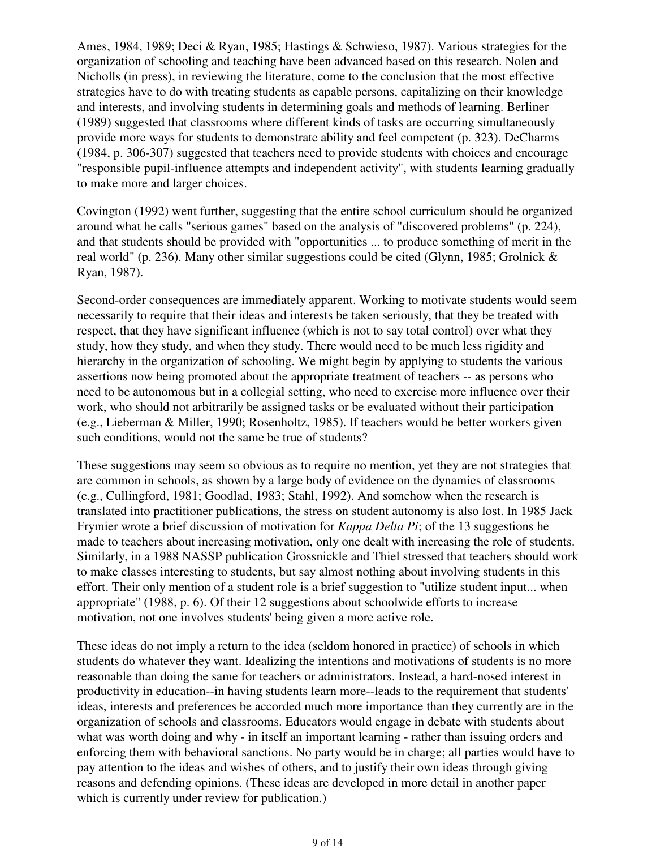Ames, 1984, 1989; Deci & Ryan, 1985; Hastings & Schwieso, 1987). Various strategies for the organization of schooling and teaching have been advanced based on this research. Nolen and Nicholls (in press), in reviewing the literature, come to the conclusion that the most effective strategies have to do with treating students as capable persons, capitalizing on their knowledge and interests, and involving students in determining goals and methods of learning. Berliner (1989) suggested that classrooms where different kinds of tasks are occurring simultaneously provide more ways for students to demonstrate ability and feel competent (p. 323). DeCharms (1984, p. 306-307) suggested that teachers need to provide students with choices and encourage "responsible pupil-influence attempts and independent activity", with students learning gradually to make more and larger choices.

Covington (1992) went further, suggesting that the entire school curriculum should be organized around what he calls "serious games" based on the analysis of "discovered problems" (p. 224), and that students should be provided with "opportunities ... to produce something of merit in the real world" (p. 236). Many other similar suggestions could be cited (Glynn, 1985; Grolnick & Ryan, 1987).

Second-order consequences are immediately apparent. Working to motivate students would seem necessarily to require that their ideas and interests be taken seriously, that they be treated with respect, that they have significant influence (which is not to say total control) over what they study, how they study, and when they study. There would need to be much less rigidity and hierarchy in the organization of schooling. We might begin by applying to students the various assertions now being promoted about the appropriate treatment of teachers -- as persons who need to be autonomous but in a collegial setting, who need to exercise more influence over their work, who should not arbitrarily be assigned tasks or be evaluated without their participation (e.g., Lieberman & Miller, 1990; Rosenholtz, 1985). If teachers would be better workers given such conditions, would not the same be true of students?

These suggestions may seem so obvious as to require no mention, yet they are not strategies that are common in schools, as shown by a large body of evidence on the dynamics of classrooms (e.g., Cullingford, 1981; Goodlad, 1983; Stahl, 1992). And somehow when the research is translated into practitioner publications, the stress on student autonomy is also lost. In 1985 Jack Frymier wrote a brief discussion of motivation for *Kappa Delta Pi*; of the 13 suggestions he made to teachers about increasing motivation, only one dealt with increasing the role of students. Similarly, in a 1988 NASSP publication Grossnickle and Thiel stressed that teachers should work to make classes interesting to students, but say almost nothing about involving students in this effort. Their only mention of a student role is a brief suggestion to "utilize student input... when appropriate" (1988, p. 6). Of their 12 suggestions about schoolwide efforts to increase motivation, not one involves students' being given a more active role.

These ideas do not imply a return to the idea (seldom honored in practice) of schools in which students do whatever they want. Idealizing the intentions and motivations of students is no more reasonable than doing the same for teachers or administrators. Instead, a hard-nosed interest in productivity in education--in having students learn more--leads to the requirement that students' ideas, interests and preferences be accorded much more importance than they currently are in the organization of schools and classrooms. Educators would engage in debate with students about what was worth doing and why - in itself an important learning - rather than issuing orders and enforcing them with behavioral sanctions. No party would be in charge; all parties would have to pay attention to the ideas and wishes of others, and to justify their own ideas through giving reasons and defending opinions. (These ideas are developed in more detail in another paper which is currently under review for publication.)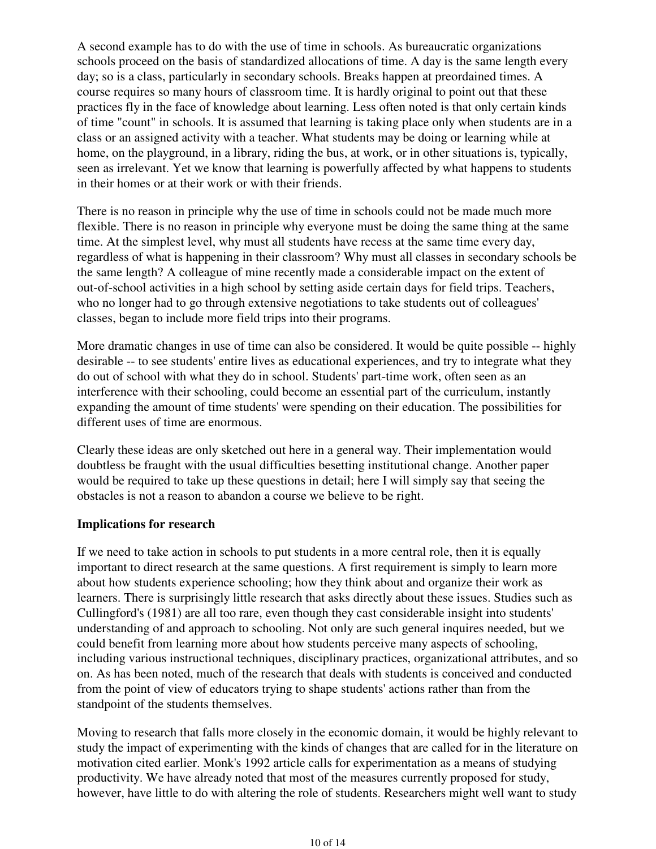A second example has to do with the use of time in schools. As bureaucratic organizations schools proceed on the basis of standardized allocations of time. A day is the same length every day; so is a class, particularly in secondary schools. Breaks happen at preordained times. A course requires so many hours of classroom time. It is hardly original to point out that these practices fly in the face of knowledge about learning. Less often noted is that only certain kinds of time "count" in schools. It is assumed that learning is taking place only when students are in a class or an assigned activity with a teacher. What students may be doing or learning while at home, on the playground, in a library, riding the bus, at work, or in other situations is, typically, seen as irrelevant. Yet we know that learning is powerfully affected by what happens to students in their homes or at their work or with their friends.

There is no reason in principle why the use of time in schools could not be made much more flexible. There is no reason in principle why everyone must be doing the same thing at the same time. At the simplest level, why must all students have recess at the same time every day, regardless of what is happening in their classroom? Why must all classes in secondary schools be the same length? A colleague of mine recently made a considerable impact on the extent of out-of-school activities in a high school by setting aside certain days for field trips. Teachers, who no longer had to go through extensive negotiations to take students out of colleagues' classes, began to include more field trips into their programs.

More dramatic changes in use of time can also be considered. It would be quite possible -- highly desirable -- to see students' entire lives as educational experiences, and try to integrate what they do out of school with what they do in school. Students' part-time work, often seen as an interference with their schooling, could become an essential part of the curriculum, instantly expanding the amount of time students' were spending on their education. The possibilities for different uses of time are enormous.

Clearly these ideas are only sketched out here in a general way. Their implementation would doubtless be fraught with the usual difficulties besetting institutional change. Another paper would be required to take up these questions in detail; here I will simply say that seeing the obstacles is not a reason to abandon a course we believe to be right.

#### **Implications for research**

If we need to take action in schools to put students in a more central role, then it is equally important to direct research at the same questions. A first requirement is simply to learn more about how students experience schooling; how they think about and organize their work as learners. There is surprisingly little research that asks directly about these issues. Studies such as Cullingford's (1981) are all too rare, even though they cast considerable insight into students' understanding of and approach to schooling. Not only are such general inquires needed, but we could benefit from learning more about how students perceive many aspects of schooling, including various instructional techniques, disciplinary practices, organizational attributes, and so on. As has been noted, much of the research that deals with students is conceived and conducted from the point of view of educators trying to shape students' actions rather than from the standpoint of the students themselves.

Moving to research that falls more closely in the economic domain, it would be highly relevant to study the impact of experimenting with the kinds of changes that are called for in the literature on motivation cited earlier. Monk's 1992 article calls for experimentation as a means of studying productivity. We have already noted that most of the measures currently proposed for study, however, have little to do with altering the role of students. Researchers might well want to study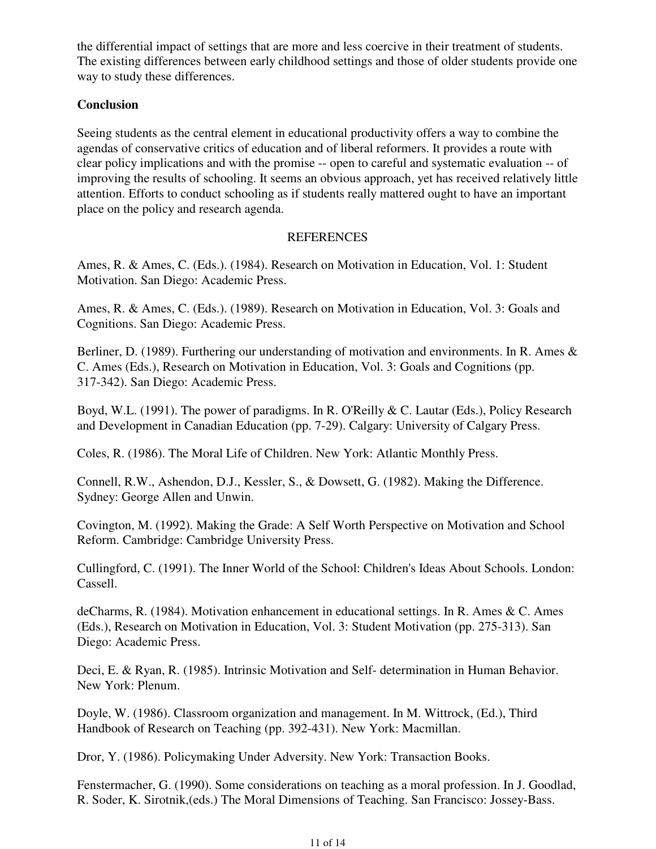the differential impact of settings that are more and less coercive in their treatment of students. The existing differences between early childhood settings and those of older students provide one way to study these differences.

#### **Conclusion**

Seeing students as the central element in educational productivity offers a way to combine the agendas of conservative critics of education and of liberal reformers. It provides a route with clear policy implications and with the promise -- open to careful and systematic evaluation -- of improving the results of schooling. It seems an obvious approach, yet has received relatively little attention. Efforts to conduct schooling as if students really mattered ought to have an important place on the policy and research agenda.

#### **REFERENCES**

Ames, R. & Ames, C. (Eds.). (1984). Research on Motivation in Education, Vol. 1: Student Motivation. San Diego: Academic Press.

Ames, R. & Ames, C. (Eds.). (1989). Research on Motivation in Education, Vol. 3: Goals and Cognitions. San Diego: Academic Press.

Berliner, D. (1989). Furthering our understanding of motivation and environments. In R. Ames  $\&$ C. Ames (Eds.), Research on Motivation in Education, Vol. 3: Goals and Cognitions (pp. 317-342). San Diego: Academic Press.

Boyd, W.L. (1991). The power of paradigms. In R. O'Reilly & C. Lautar (Eds.), Policy Research and Development in Canadian Education (pp. 7-29). Calgary: University of Calgary Press.

Coles, R. (1986). The Moral Life of Children. New York: Atlantic Monthly Press.

Connell, R.W., Ashendon, D.J., Kessler, S., & Dowsett, G. (1982). Making the Difference. Sydney: George Allen and Unwin.

Covington, M. (1992). Making the Grade: A Self Worth Perspective on Motivation and School Reform. Cambridge: Cambridge University Press.

Cullingford, C. (1991). The Inner World of the School: Children's Ideas About Schools. London: Cassell.

deCharms, R. (1984). Motivation enhancement in educational settings. In R. Ames & C. Ames (Eds.), Research on Motivation in Education, Vol. 3: Student Motivation (pp. 275-313). San Diego: Academic Press.

Deci, E. & Ryan, R. (1985). Intrinsic Motivation and Self- determination in Human Behavior. New York: Plenum.

Doyle, W. (1986). Classroom organization and management. In M. Wittrock, (Ed.), Third Handbook of Research on Teaching (pp. 392-431). New York: Macmillan.

Dror, Y. (1986). Policymaking Under Adversity. New York: Transaction Books.

Fenstermacher, G. (1990). Some considerations on teaching as a moral profession. In J. Goodlad, R. Soder, K. Sirotnik,(eds.) The Moral Dimensions of Teaching. San Francisco: Jossey-Bass.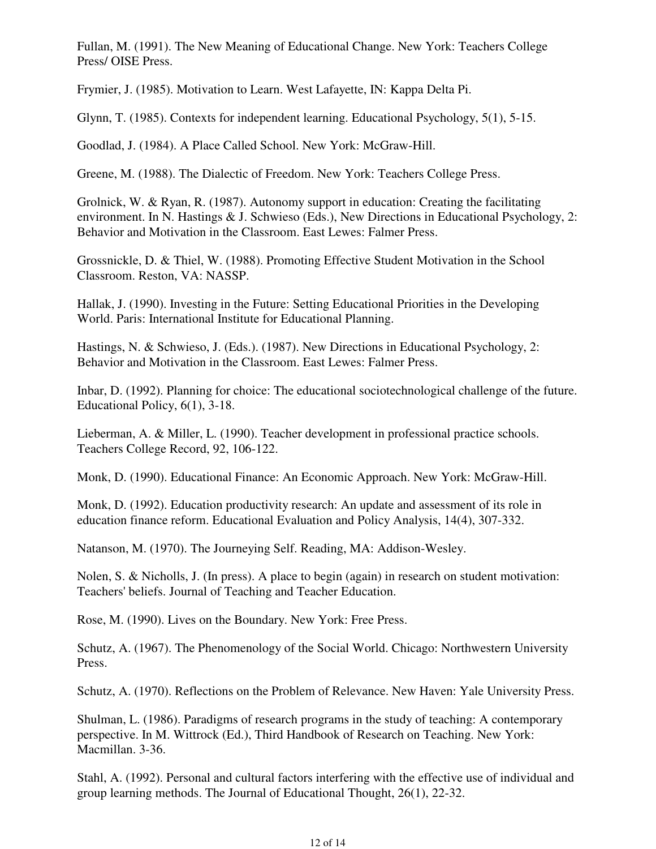Fullan, M. (1991). The New Meaning of Educational Change. New York: Teachers College Press/ OISE Press.

Frymier, J. (1985). Motivation to Learn. West Lafayette, IN: Kappa Delta Pi.

Glynn, T. (1985). Contexts for independent learning. Educational Psychology, 5(1), 5-15.

Goodlad, J. (1984). A Place Called School. New York: McGraw-Hill.

Greene, M. (1988). The Dialectic of Freedom. New York: Teachers College Press.

Grolnick, W. & Ryan, R. (1987). Autonomy support in education: Creating the facilitating environment. In N. Hastings & J. Schwieso (Eds.), New Directions in Educational Psychology, 2: Behavior and Motivation in the Classroom. East Lewes: Falmer Press.

Grossnickle, D. & Thiel, W. (1988). Promoting Effective Student Motivation in the School Classroom. Reston, VA: NASSP.

Hallak, J. (1990). Investing in the Future: Setting Educational Priorities in the Developing World. Paris: International Institute for Educational Planning.

Hastings, N. & Schwieso, J. (Eds.). (1987). New Directions in Educational Psychology, 2: Behavior and Motivation in the Classroom. East Lewes: Falmer Press.

Inbar, D. (1992). Planning for choice: The educational sociotechnological challenge of the future. Educational Policy, 6(1), 3-18.

Lieberman, A. & Miller, L. (1990). Teacher development in professional practice schools. Teachers College Record, 92, 106-122.

Monk, D. (1990). Educational Finance: An Economic Approach. New York: McGraw-Hill.

Monk, D. (1992). Education productivity research: An update and assessment of its role in education finance reform. Educational Evaluation and Policy Analysis, 14(4), 307-332.

Natanson, M. (1970). The Journeying Self. Reading, MA: Addison-Wesley.

Nolen, S. & Nicholls, J. (In press). A place to begin (again) in research on student motivation: Teachers' beliefs. Journal of Teaching and Teacher Education.

Rose, M. (1990). Lives on the Boundary. New York: Free Press.

Schutz, A. (1967). The Phenomenology of the Social World. Chicago: Northwestern University Press.

Schutz, A. (1970). Reflections on the Problem of Relevance. New Haven: Yale University Press.

Shulman, L. (1986). Paradigms of research programs in the study of teaching: A contemporary perspective. In M. Wittrock (Ed.), Third Handbook of Research on Teaching. New York: Macmillan. 3-36.

Stahl, A. (1992). Personal and cultural factors interfering with the effective use of individual and group learning methods. The Journal of Educational Thought, 26(1), 22-32.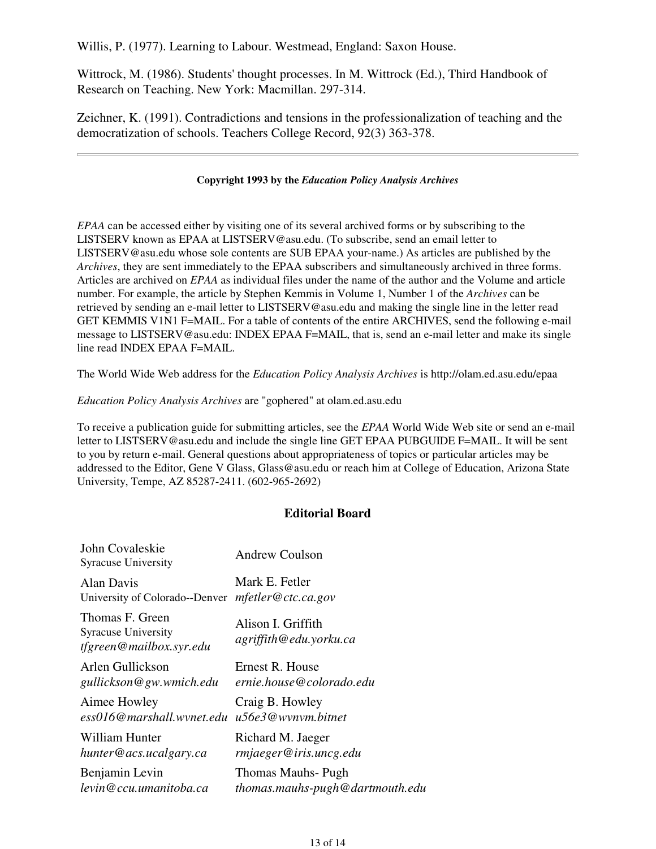Willis, P. (1977). Learning to Labour. Westmead, England: Saxon House.

Wittrock, M. (1986). Students' thought processes. In M. Wittrock (Ed.), Third Handbook of Research on Teaching. New York: Macmillan. 297-314.

Zeichner, K. (1991). Contradictions and tensions in the professionalization of teaching and the democratization of schools. Teachers College Record, 92(3) 363-378.

#### **Copyright 1993 by the** *Education Policy Analysis Archives*

*EPAA* can be accessed either by visiting one of its several archived forms or by subscribing to the LISTSERV known as EPAA at LISTSERV@asu.edu. (To subscribe, send an email letter to LISTSERV@asu.edu whose sole contents are SUB EPAA your-name.) As articles are published by the *Archives*, they are sent immediately to the EPAA subscribers and simultaneously archived in three forms. Articles are archived on *EPAA* as individual files under the name of the author and the Volume and article number. For example, the article by Stephen Kemmis in Volume 1, Number 1 of the *Archives* can be retrieved by sending an e-mail letter to LISTSERV@asu.edu and making the single line in the letter read GET KEMMIS V1N1 F=MAIL. For a table of contents of the entire ARCHIVES, send the following e-mail message to LISTSERV@asu.edu: INDEX EPAA F=MAIL, that is, send an e-mail letter and make its single line read INDEX EPAA F=MAIL.

The World Wide Web address for the *Education Policy Analysis Archives* is http://olam.ed.asu.edu/epaa

#### *Education Policy Analysis Archives* are "gophered" at olam.ed.asu.edu

To receive a publication guide for submitting articles, see the *EPAA* World Wide Web site or send an e-mail letter to LISTSERV@asu.edu and include the single line GET EPAA PUBGUIDE F=MAIL. It will be sent to you by return e-mail. General questions about appropriateness of topics or particular articles may be addressed to the Editor, Gene V Glass, Glass@asu.edu or reach him at College of Education, Arizona State University, Tempe, AZ 85287-2411. (602-965-2692)

#### **Editorial Board**

| John Covaleskie<br><b>Syracuse University</b>                            | Andrew Coulson                               |
|--------------------------------------------------------------------------|----------------------------------------------|
| Alan Davis                                                               | Mark E. Fetler                               |
| University of Colorado--Denver                                           | mfetter@ctc.ca.gov                           |
| Thomas F. Green<br><b>Syracuse University</b><br>tfgreen@mailbox.syr.edu | Alison I. Griffith<br>agriffith@edu.yorku.ca |
| Arlen Gullickson                                                         | Ernest R. House                              |
| gullickson@gw.wmich.edu                                                  | ernie.house@colorado.edu                     |
| Aimee Howley                                                             | Craig B. Howley                              |
| ess016@marshall.wynet.edu                                                | u56e3@wynym.bitnet                           |
| William Hunter                                                           | Richard M. Jaeger                            |
| hunter@acs.ucalgary.ca                                                   | rmjaeger@iris.uncg.edu                       |
| Benjamin Levin                                                           | Thomas Mauhs- Pugh                           |
| levin@ccu.umanitoba.ca                                                   | thomas.mauhs-pugh@dartmouth.edu              |
|                                                                          |                                              |